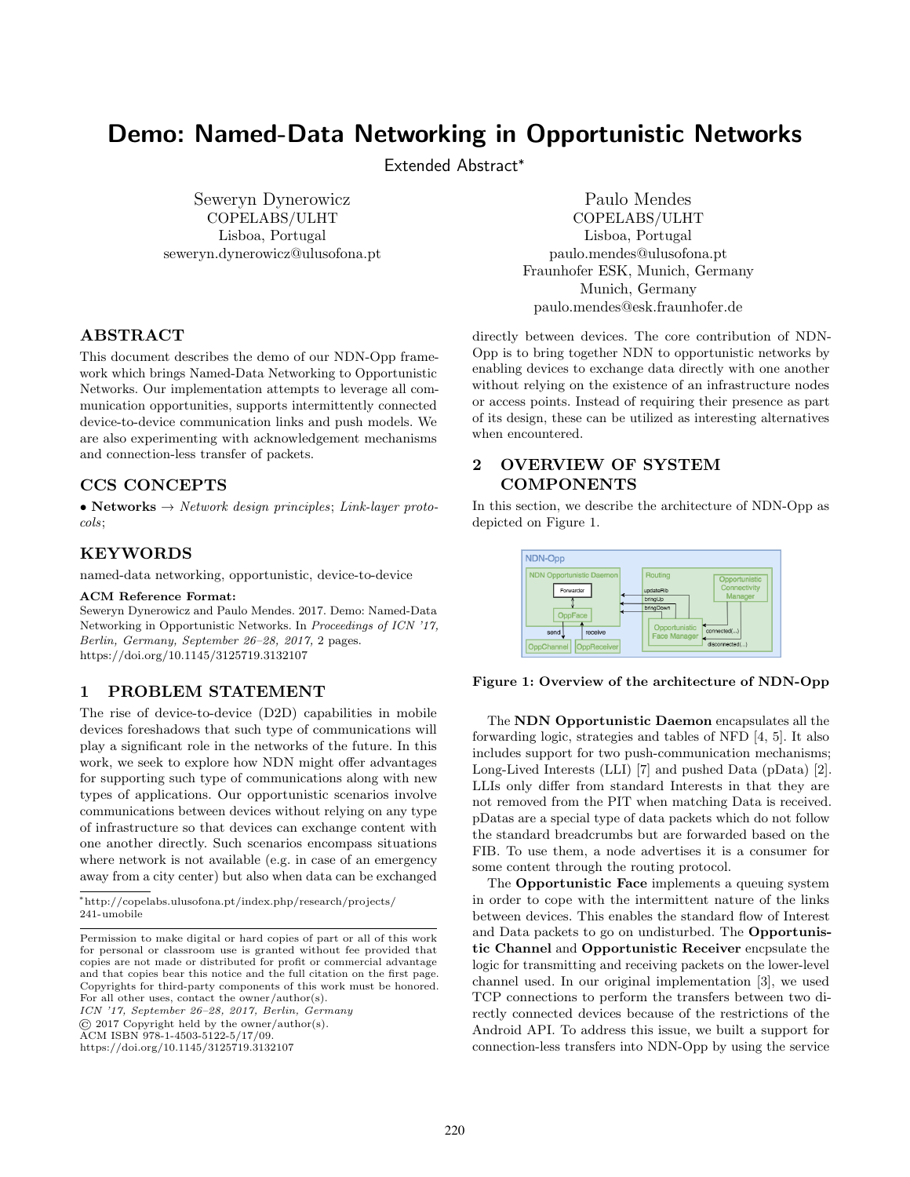# Demo: Named-Data Networking in Opportunistic Networks

Extended Abstract<sup>∗</sup>

Seweryn Dynerowicz COPELABS/ULHT Lisboa, Portugal seweryn.dynerowicz@ulusofona.pt

## ABSTRACT

This document describes the demo of our NDN-Opp framework which brings Named-Data Networking to Opportunistic Networks. Our implementation attempts to leverage all communication opportunities, supports intermittently connected device-to-device communication links and push models. We are also experimenting with acknowledgement mechanisms and connection-less transfer of packets.

### CCS CONCEPTS

• Networks  $\rightarrow$  Network design principles; Link-layer protocols;

### KEYWORDS

named-data networking, opportunistic, device-to-device

#### ACM Reference Format:

Seweryn Dynerowicz and Paulo Mendes. 2017. Demo: Named-Data Networking in Opportunistic Networks. In Proceedings of ICN '17, Berlin, Germany, September 26–28, 2017, [2](#page-1-0) pages. <https://doi.org/10.1145/3125719.3132107>

### 1 PROBLEM STATEMENT

The rise of device-to-device (D2D) capabilities in mobile devices foreshadows that such type of communications will play a significant role in the networks of the future. In this work, we seek to explore how NDN might offer advantages for supporting such type of communications along with new types of applications. Our opportunistic scenarios involve communications between devices without relying on any type of infrastructure so that devices can exchange content with one another directly. Such scenarios encompass situations where network is not available (e.g. in case of an emergency away from a city center) but also when data can be exchanged

ICN '17, September 26–28, 2017, Berlin, Germany

© 2017 Copyright held by the owner/author(s).

ACM ISBN 978-1-4503-5122-5/17/09.

<https://doi.org/10.1145/3125719.3132107>

Paulo Mendes COPELABS/ULHT Lisboa, Portugal paulo.mendes@ulusofona.pt Fraunhofer ESK, Munich, Germany Munich, Germany paulo.mendes@esk.fraunhofer.de

directly between devices. The core contribution of NDN-Opp is to bring together NDN to opportunistic networks by enabling devices to exchange data directly with one another without relying on the existence of an infrastructure nodes or access points. Instead of requiring their presence as part of its design, these can be utilized as interesting alternatives when encountered.

# 2 OVERVIEW OF SYSTEM COMPONENTS

In this section, we describe the architecture of NDN-Opp as depicted on Figure [1.](#page-0-0)

<span id="page-0-0"></span>

#### Figure 1: Overview of the architecture of NDN-Opp

The NDN Opportunistic Daemon encapsulates all the forwarding logic, strategies and tables of NFD [\[4,](#page-1-1) [5\]](#page-1-2). It also includes support for two push-communication mechanisms; Long-Lived Interests (LLI) [\[7\]](#page-1-3) and pushed Data (pData) [\[2\]](#page-1-4). LLIs only differ from standard Interests in that they are not removed from the PIT when matching Data is received. pDatas are a special type of data packets which do not follow the standard breadcrumbs but are forwarded based on the FIB. To use them, a node advertises it is a consumer for some content through the routing protocol.

The Opportunistic Face implements a queuing system in order to cope with the intermittent nature of the links between devices. This enables the standard flow of Interest and Data packets to go on undisturbed. The Opportunistic Channel and Opportunistic Receiver encpsulate the logic for transmitting and receiving packets on the lower-level channel used. In our original implementation [\[3\]](#page-1-5), we used TCP connections to perform the transfers between two directly connected devices because of the restrictions of the Android API. To address this issue, we built a support for connection-less transfers into NDN-Opp by using the service

<sup>∗</sup>[http://copelabs.ulusofona.pt/index.php/research/projects/](http://copelabs.ulusofona.pt/index.php/research/projects/241-umobile) [241-umobile](http://copelabs.ulusofona.pt/index.php/research/projects/241-umobile)

Permission to make digital or hard copies of part or all of this work for personal or classroom use is granted without fee provided that copies are not made or distributed for profit or commercial advantage and that copies bear this notice and the full citation on the first page. Copyrights for third-party components of this work must be honored. For all other uses, contact the owner/author(s).